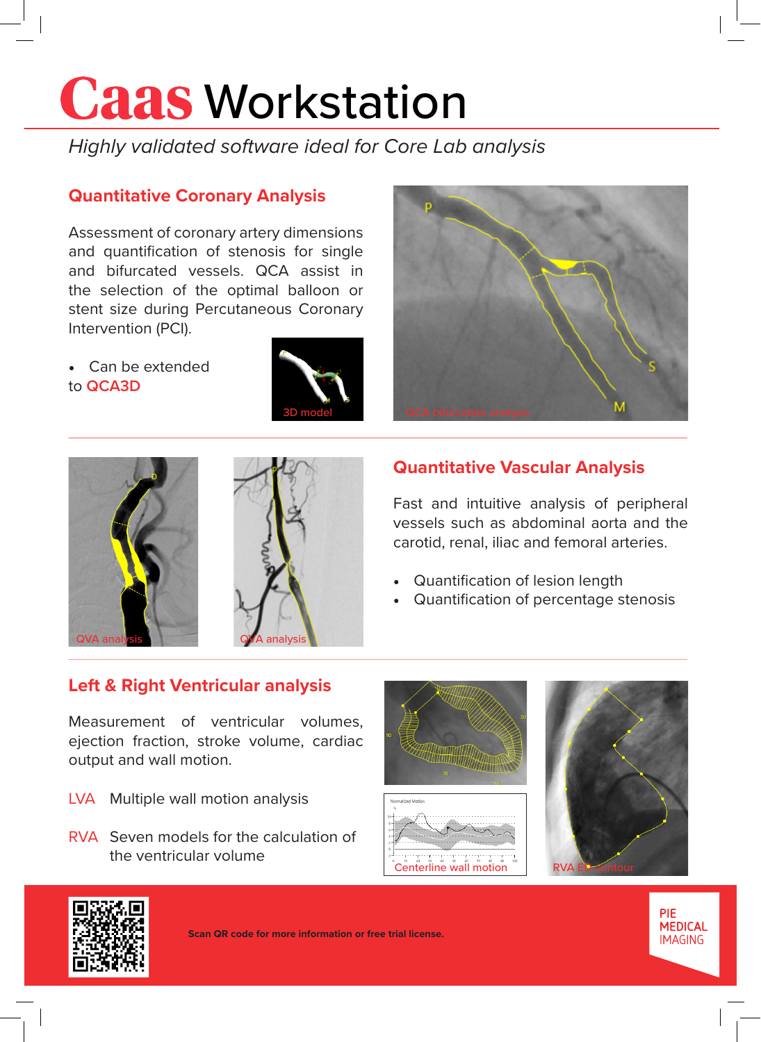# **Caas Workstation**

*Highly validated software ideal for Core Lab analysis*

## **Quantitative Coronary Analysis**

Assessment of coronary artery dimensions and quantification of stenosis for single and bifurcated vessels. QCA assist in the selection of the optimal balloon or stent size during Percutaneous Coronary Intervention (PCI).

• Can be extended to **QCA3D**







## **Quantitative Vascular Analysis**

Fast and intuitive analysis of peripheral vessels such as abdominal aorta and the carotid, renal, iliac and femoral arteries.

- Quantification of lesion length
- Quantification of percentage stenosis

## **Left & Right Ventricular analysis**

Measurement of ventricular volumes, ejection fraction, stroke volume, cardiac output and wall motion.

- LVA Multiple wall motion analysis
- RVA Seven models for the calculation of the ventricular volume and the ventricular volume contribution  $\frac{1}{2}$  Centerline wall motion